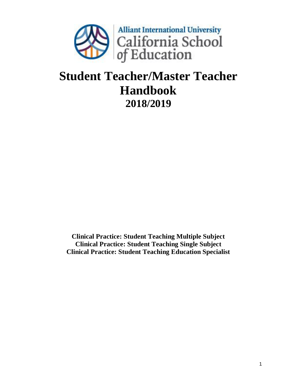

# **Student Teacher/Master Teacher Handbook 2018/2019**

**Clinical Practice: Student Teaching Multiple Subject Clinical Practice: Student Teaching Single Subject Clinical Practice: Student Teaching Education Specialist**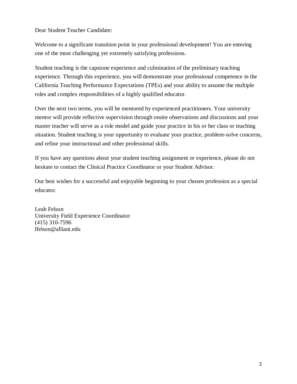Dear Student Teacher Candidate:

Welcome to a significant transition point in your professional development! You are entering one of the most challenging yet extremely satisfying professions.

Student teaching is the capstone experience and culmination of the preliminary teaching experience. Through this experience, you will demonstrate your professional competence in the California Teaching Performance Expectations (TPEs) and your ability to assume the multiple roles and complex responsibilities of a highly qualified educator.

Over the next two terms, you will be mentored by experienced practitioners. Your university mentor will provide reflective supervision through onsite observations and discussions and your master teacher will serve as a role model and guide your practice in his or her class or teaching situation. Student teaching is your opportunity to evaluate your practice, problem-solve concerns, and refine your instructional and other professional skills.

If you have any questions about your student teaching assignment or experience, please do not hesitate to contact the Clinical Practice Coordinator or your Student Advisor.

Our best wishes for a successful and enjoyable beginning to your chosen profession as a special educator.

Leah Felson University Field Experience Coordinator (415) 310-7596 lfelson@alliant.edu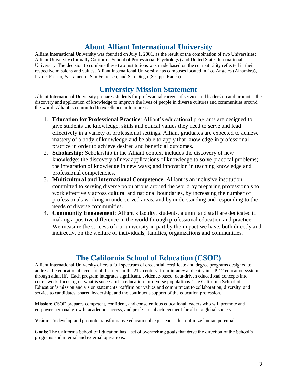# **About Alliant International University**

Alliant International University was founded on July 1, 2001, as the result of the combination of two Universities: Alliant University (formally California School of Professional Psychology) and United States International University. The decision to combine these two institutions was made based on the compatibility reflected in their respective missions and values. Alliant International University has campuses located in Los Angeles (Alhambra), Irvine, Fresno, Sacramento, San Francisco, and San Diego (Scripps Ranch).

## **University Mission Statement**

Alliant International University prepares students for professional careers of service and leadership and promotes the discovery and application of knowledge to improve the lives of people in diverse cultures and communities around the world. Alliant is committed to excellence in four areas:

- 1. **Education for Professional Practice**: Alliant's educational programs are designed to give students the knowledge, skills and ethical values they need to serve and lead effectively in a variety of professional settings. Alliant graduates are expected to achieve mastery of a body of knowledge and be able to apply that knowledge in professional practice in order to achieve desired and beneficial outcomes.
- 2. **Scholarship**: Scholarship in the Alliant context includes the discovery of new knowledge; the discovery of new applications of knowledge to solve practical problems; the integration of knowledge in new ways; and innovation in teaching knowledge and professional competencies.
- 3. **Multicultural and International Competence**: Alliant is an inclusive institution committed to serving diverse populations around the world by preparing professionals to work effectively across cultural and national boundaries, by increasing the number of professionals working in underserved areas, and by understanding and responding to the needs of diverse communities.
- 4. **Community Engagement**: Alliant's faculty, students, alumni and staff are dedicated to making a positive difference in the world through professional education and practice. We measure the success of our university in part by the impact we have, both directly and indirectly, on the welfare of individuals, families, organizations and communities.

# **The California School of Education (CSOE)**

Alliant International University offers a full spectrum of credential, certificate and degree programs designed to address the educational needs of all learners in the 21st century, from infancy and entry into P-12 education system through adult life. Each program integrates significant, evidence-based, data-driven educational concepts into coursework, focusing on what is successful in education for diverse populations. The California School of Education's mission and vision statements reaffirm our values and commitment to collaboration, diversity, and service to candidates, shared leadership, and the continuous support of the education profession.

**Mission**: CSOE prepares competent, confident, and conscientious educational leaders who will promote and empower personal growth, academic success, and professional achievement for all in a global society.

**Vision**: To develop and promote transformative educational experiences that optimize human potential.

**Goals**: The California School of Education has a set of overarching goals that drive the direction of the School's programs and internal and external operations: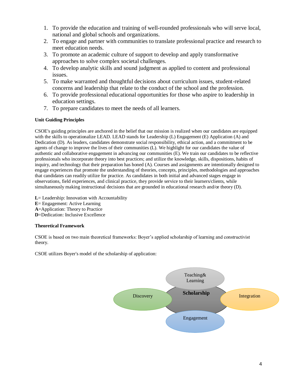- 1. To provide the education and training of well-rounded professionals who will serve local, national and global schools and organizations.
- 2. To engage and partner with communities to translate professional practice and research to meet education needs.
- 3. To promote an academic culture of support to develop and apply transformative approaches to solve complex societal challenges.
- 4. To develop analytic skills and sound judgment as applied to content and professional issues.
- 5. To make warranted and thoughtful decisions about curriculum issues, student-related concerns and leadership that relate to the conduct of the school and the profession.
- 6. To provide professional educational opportunities for those who aspire to leadership in education settings.
- 7. To prepare candidates to meet the needs of all learners.

### **Unit Guiding Principles**

CSOE's guiding principles are anchored in the belief that our mission is realized when our candidates are equipped with the skills to operationalize LEAD. LEAD stands for Leadership (L) Engagement (E) Application (A) and Dedication (D). As leaders, candidates demonstrate social responsibility, ethical action, and a commitment to be agents of change to improve the lives of their communities (L). We highlight for our candidates the value of authentic and collaborative engagement in advancing our communities (E). We train our candidates to be reflective professionals who incorporate theory into best practices; and utilize the knowledge, skills, dispositions, habits of inquiry, and technology that their preparation has honed (A). Courses and assignments are intentionally designed to engage experiences that promote the understanding of theories, concepts, principles, methodologies and approaches that candidates can readily utilize for practice. As candidates in both initial and advanced stages engage in observations, field experiences, and clinical practice, they provide service to their learners/clients, while simultaneously making instructional decisions that are grounded in educational research and/or theory (D).

- **L**= Leadership: Innovation with Accountability **E**= Engagement: Active Learning **A**=Application: Theory to Practice
- **D**=Dedication: Inclusive Excellence

### **Theoretical Framework**

CSOE is based on two main theoretical frameworks: Boyer's applied scholarship of learning and constructivist theory.

CSOE utilizes Boyer's model of the scholarship of application:

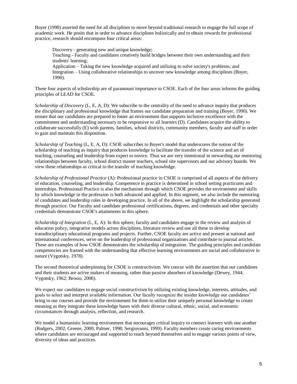Boyer (1990) asserted the need for all disciplines to move beyond traditional research to engage the full scope of academic work. He posits that in order to advance disciplines holistically and to obtain rewards for professional practice, research should encompass four critical areas:

Discovery - generating new and unique knowledge; Teaching - Faculty and candidates creatively build bridges between their own understanding and their students' learning; Application – Taking the new knowledge acquired and utilizing to solve society's problems; and Integration – Using collaborative relationships to uncover new knowledge among disciplines (Boyer, 1990).

These four aspects of scholarship are of paramount importance to CSOE. Each of the four areas informs the guiding principles of LEAD for CSOE.

*Scholarship of Discovery* (L, E, A, D): We subscribe to the centrality of the need to advance inquiry that produces the disciplinary and professional knowledge that frames our candidate preparation and training (Boyer, 1990). We ensure that our candidates are prepared to foster an environment that supports inclusive excellence with the commitment and understanding necessary to be responsive to all learners (D). Candidates acquire the ability to collaborate successfully (E) with parents, families, school districts, community members, faculty and staff in order to gain and maintain this disposition.

*Scholarship of Teaching* (L, E, A, D): CSOE subscribes to Boyer's model that underscores the notion of the scholarship of teaching as inquiry that produces knowledge to facilitate the transfer of the science and art of teaching, counseling and leadership from expert to novice. Thus we are very intentional in stewarding our mentoring relationships between faculty, school district master teachers, school site supervisors and our advisory boards. We view these relationships as critical to the transfer of teaching knowledge.

*Scholarship of Professional Practice* (A): Professional practice in CSOE is comprised of all aspects of the delivery of education, counseling, and leadership. Competence in practice is determined in school setting practicums and internships. Professional Practice is also the mechanism through which CSOE provides the environment and skills by which knowledge in the profession is both advanced and applied. In this segment, we also include the mentoring of candidates and leadership roles in developing practice. In all of the above, we highlight the scholarship generated through practice. Our Faculty and candidate professional certifications, degrees, and credentials and other specialty credentials demonstrate CSOE's attainments in this sphere.

*Scholarship of Integration* (L, E, A): In this sphere, faculty and candidates engage in the review and analysis of education policy, integrative models across disciplines, literature review and use all these to develop transdisciplinary educational programs and projects. Further, CSOE faculty are active and present at national and international conferences, serve on the leadership of professional organizations and contribute to journal articles. These are examples of how CSOE demonstrates the scholarship of integration. The guiding principles and candidate competencies are framed with the understanding that effective learning environments are social and collaborative in nature (Vygotsky, 1978).

The second theoretical underpinning for CSOE is constructivism. We concur with the assertion that our candidates and their students are active makers of meaning, rather than passive absorbers of knowledge (Dewey, 1944; Vygotsky, 1962; Brosio, 2000).

We expect our candidates to engage social constructivism by utilizing existing knowledge, interests, attitudes, and goals to select and interpret available information. Our faculty recognize the insider knowledge our candidates' bring to our courses and provide the environment for them to utilize their uniquely personal knowledge to create meaning as they integrate these knowledge bases with their diverse cultural, ethnic, social, and economic circumstances through analysis, reflection, and research.

We model a humanistic learning environment that encourages critical inquiry to connect learners with one another (Rodgers, 2002; Greene, 2000; Palmer, 1998; Sergiovanni, 1999). Faculty members create caring environments where candidates are encouraged and supported to reach beyond themselves and to engage various points of view, diversity of ideas and practices.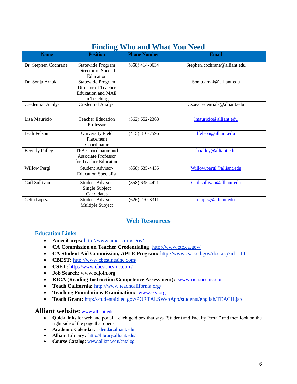|                           | <b>Finding Who and What You Need</b>                                                |                     |                              |  |  |  |  |  |
|---------------------------|-------------------------------------------------------------------------------------|---------------------|------------------------------|--|--|--|--|--|
| <b>Name</b>               | <b>Position</b>                                                                     | <b>Phone Number</b> | <b>Email</b>                 |  |  |  |  |  |
| Dr. Stephen Cochrane      | Statewide Program<br>Director of Special<br>Education                               | $(858)$ 414-0634    | Stephen.cochrane@alliant.edu |  |  |  |  |  |
| Dr. Sonja Arnak           | Statewide Program<br>Director of Teacher<br><b>Education and MAE</b><br>in Teaching |                     | Sonja.arnak@alliant.edu      |  |  |  |  |  |
| <b>Credential Analyst</b> | <b>Credential Analyst</b>                                                           |                     | Csoe.credentials@alliant.edu |  |  |  |  |  |
| Lisa Mauricio             | <b>Teacher Education</b><br>Professor                                               | $(562) 652 - 2368$  | Imauricio@alliant.edu        |  |  |  |  |  |
| Leah Felson               | University Field<br>Placement<br>Coordinator                                        | $(415)$ 310-7596    | lfelson@alliant.edu          |  |  |  |  |  |
| <b>Beverly Palley</b>     | TPA Coordinator and<br>Associate Professor<br>for Teacher Education                 |                     | bpalley@alliant.edu          |  |  |  |  |  |
| Willow Pergl              | Student Advisor-<br><b>Education Specialist</b>                                     | $(858) 635 - 4435$  | Willow.pergl@alliant.edu     |  |  |  |  |  |
| Gail Sullivan             | <b>Student Advisor-</b><br>Single Subject<br>Candidates                             | $(858)$ 635-4421    | Gail.sullivan@alliant.edu    |  |  |  |  |  |
| Celia Lopez               | Student Advisor-<br>Multiple Subject                                                | $(626)$ 270-3311    | clopez@alliant.edu           |  |  |  |  |  |

# **Finding Who and What You Need**

### **Web Resources**

### **Education Links**

- **AmeriCorps:** <http://www.americorps.gov/>
- **CA Commission on Teacher Credentialing**: http://www.ctc.ca.gov/
- **CA Student Aid Commission, APLE Program:** <http://www.csac.ed.gov/doc.asp?id=111>
- **CBEST:** <http://www.cbest.nesinc.com/>
- **CSET:** <http://www.cbest.nesinc.com/>
- **Job Search:** www.edjoin.org
- **RICA (Reading Instruction Competence Assessment):** [www.rica.nesinc.com](http://www.rica.nesinc.com/)
- **Teach California:** <http://www.teachcalifornia.org/>
- **Teaching Foundations Examination:** [www.ets.org](http://www.ets.org/)
- **Teach Grant:** <http://studentaid.ed.gov/PORTALSWebApp/students/english/TEACH.jsp>

### **Alliant website:** [www.alliant.edu](http://www.alliant.edu/)

- **Quick links** for web and portal click gold box that says "Student and Faculty Portal" and then look on the right side of the page that opens.
- **Academic Calendar:** calendar.alliant.edu
- **Alliant Library:** http://library.alliant.edu/
- **Course Catalog**: www.alliant.edu/catalog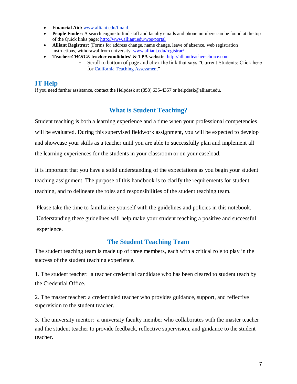- **Financial Aid:** www.alliant.edu/finaid
- **People Finder:** A search engine to find staff and faculty emails and phone numbers can be found at the top of the Quick links page[: http://www.alliant.edu/wps/portal](http://www.alliant.edu/wps/portal)
- **Alliant Registrar:** (Forms for address change, name change, leave of absence, web registration instructions, withdrawal from university: [www.alliant.edu/registrar/](http://www.alliant.edu/registrar/)
- **Teachers***CHOICE* **teacher candidates' & TPA website**: [http://alliantteacherschoice.com](http://alliantteacherschoice.com/)
	- o Scroll to bottom of page and click the link that says "Current Students: Click here for [California Teaching Assessment"](http://www.alliant.edu/wps/wcm/connect/website/Home/About+Alliant/Schools+%26+Colleges/Shirley+Hufstedler+School+of+Education/Information+for+Current+Students/)

### **IT Help**

If you need further assistance, contact the Helpdesk at (858) 635-4357 o[r helpdesk@alliant.edu.](mailto:helpdesk@alliant.edu) 

### **What is Student Teaching?**

Student teaching is both a learning experience and a time when your professional competencies will be evaluated. During this supervised fieldwork assignment, you will be expected to develop and showcase your skills as a teacher until you are able to successfully plan and implement all the learning experiences for the students in your classroom or on your caseload.

It is important that you have a solid understanding of the expectations as you begin your student teaching assignment. The purpose of this handbook is to clarify the requirements for student teaching, and to delineate the roles and responsibilities of the student teaching team.

Please take the time to familiarize yourself with the guidelines and policies in this notebook.

Understanding these guidelines will help make your student teaching a positive and successful experience.

### **The Student Teaching Team**

The student teaching team is made up of three members, each with a critical role to play in the success of the student teaching experience.

1. The student teacher: a teacher credential candidate who has been cleared to student teach by the Credential Office.

2. The master teacher: a credentialed teacher who provides guidance, support, and reflective supervision to the student teacher.

3. The university mentor: a university faculty member who collaborates with the master teacher and the student teacher to provide feedback, reflective supervision, and guidance to the student teacher.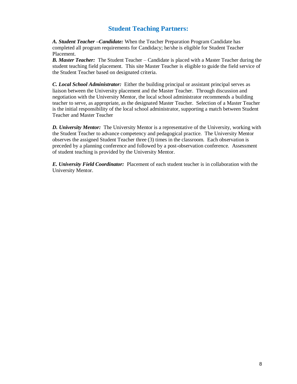### **Student Teaching Partners:**

*A. Student Teacher –Candidate:* When the Teacher Preparation Program Candidate has completed all program requirements for Candidacy; he/she is eligible for Student Teacher Placement.

*B. Master Teacher:* The Student Teacher – Candidate is placed with a Master Teacher during the student teaching field placement. This site Master Teacher is eligible to guide the field service of the Student Teacher based on designated criteria.

*C. Local School Administrator:* Either the building principal or assistant principal serves as liaison between the University placement and the Master Teacher. Through discussion and negotiation with the University Mentor, the local school administrator recommends a building teacher to serve, as appropriate, as the designated Master Teacher. Selection of a Master Teacher is the initial responsibility of the local school administrator, supporting a match between Student Teacher and Master Teacher

*D. University Mentor:* The University Mentor is a representative of the University, working with the Student Teacher to advance competency and pedagogical practice. The University Mentor observes the assigned Student Teacher three (3) times in the classroom. Each observation is preceded by a planning conference and followed by a post-observation conference. Assessment of student teaching is provided by the University Mentor.

*E. University Field Coordinator:* Placement of each student teacher is in collaboration with the University Mentor.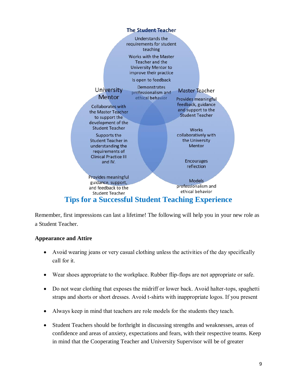

Remember, first impressions can last a lifetime! The following will help you in your new role as a Student Teacher.

### **Appearance and Attire**

- Avoid wearing jeans or very casual clothing unless the activities of the day specifically call for it.
- Wear shoes appropriate to the workplace. Rubber flip-flops are not appropriate or safe.
- Do not wear clothing that exposes the midriff or lower back. Avoid halter-tops, spaghetti straps and shorts or short dresses. Avoid t-shirts with inappropriate logos. If you present
- Always keep in mind that teachers are role models for the students they teach.
- Student Teachers should be forthright in discussing strengths and weaknesses, areas of confidence and areas of anxiety, expectations and fears, with their respective teams. Keep in mind that the Cooperating Teacher and University Supervisor will be of greater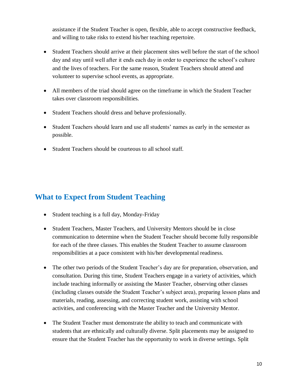assistance if the Student Teacher is open, flexible, able to accept constructive feedback, and willing to take risks to extend his/her teaching repertoire.

- Student Teachers should arrive at their placement sites well before the start of the school day and stay until well after it ends each day in order to experience the school's culture and the lives of teachers. For the same reason, Student Teachers should attend and volunteer to supervise school events, as appropriate.
- All members of the triad should agree on the timeframe in which the Student Teacher takes over classroom responsibilities.
- Student Teachers should dress and behave professionally.
- Student Teachers should learn and use all students' names as early in the semester as possible.
- Student Teachers should be courteous to all school staff.

# **What to Expect from Student Teaching**

- Student teaching is a full day, Monday-Friday
- Student Teachers, Master Teachers, and University Mentors should be in close communication to determine when the Student Teacher should become fully responsible for each of the three classes. This enables the Student Teacher to assume classroom responsibilities at a pace consistent with his/her developmental readiness.
- The other two periods of the Student Teacher's day are for preparation, observation, and consultation. During this time, Student Teachers engage in a variety of activities, which include teaching informally or assisting the Master Teacher, observing other classes (including classes outside the Student Teacher's subject area), preparing lesson plans and materials, reading, assessing, and correcting student work, assisting with school activities, and conferencing with the Master Teacher and the University Mentor.
- The Student Teacher must demonstrate the ability to teach and communicate with students that are ethnically and culturally diverse. Split placements may be assigned to ensure that the Student Teacher has the opportunity to work in diverse settings. Split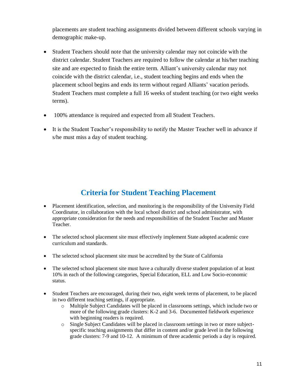placements are student teaching assignments divided between different schools varying in demographic make-up.

- Student Teachers should note that the university calendar may not coincide with the district calendar. Student Teachers are required to follow the calendar at his/her teaching site and are expected to finish the entire term. Alliant's university calendar may not coincide with the district calendar, i.e., student teaching begins and ends when the placement school begins and ends its term without regard Alliants' vacation periods. Student Teachers must complete a full 16 weeks of student teaching (or two eight weeks terms).
- 100% attendance is required and expected from all Student Teachers.
- It is the Student Teacher's responsibility to notify the Master Teacher well in advance if s/he must miss a day of student teaching.

# **Criteria for Student Teaching Placement**

- Placement identification, selection, and monitoring is the responsibility of the University Field Coordinator, in collaboration with the local school district and school administrator, with appropriate consideration for the needs and responsibilities of the Student Teacher and Master Teacher.
- The selected school placement site must effectively implement State adopted academic core curriculum and standards.
- The selected school placement site must be accredited by the State of California
- The selected school placement site must have a culturally diverse student population of at least 10% in each of the following categories, Special Education, ELL and Low Socio-economic status.
- Student Teachers are encouraged, during their two, eight week terms of placement, to be placed in two different teaching settings, if appropriate.
	- o Multiple Subject Candidates will be placed in classrooms settings, which include two or more of the following grade clusters: K-2 and 3-6. Documented fieldwork experience with beginning readers is required.
	- o Single Subject Candidates will be placed in classroom settings in two or more subjectspecific teaching assignments that differ in content and/or grade level in the following grade clusters: 7-9 and 10-12. A minimum of three academic periods a day is required.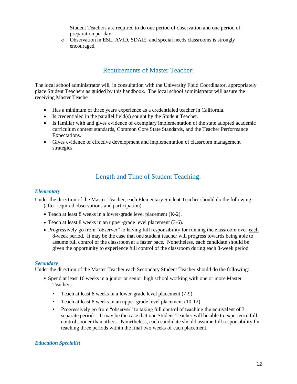Student Teachers are required to do one period of observation and one period of preparation per day.

o Observation in ESL, AVID, SDAIE, and special needs classrooms is strongly encouraged.

### Requirements of Master Teacher:

The local school administrator will, in consultation with the University Field Coordinator, appropriately place Student Teachers as guided by this handbook. The local school administrator will assure the receiving Master Teacher:

- Has a minimum of three years experience as a credentialed teacher in California.
- Is credentialed in the parallel field(s) sought by the Student Teacher.
- Is familiar with and gives evidence of exemplary implementation of the state adopted academic curriculum content standards, Common Core State Standards, and the Teacher Performance Expectations.
- Gives evidence of effective development and implementation of classroom management strategies.

### Length and Time of Student Teaching:

#### *Elementary*

Under the direction of the Master Teacher, each Elementary Student Teacher should do the following: (after required observations and participation)

- Teach at least 8 weeks in a lower-grade level placement (K-2).
- Teach at least 8 weeks in an upper-grade level placement (3-6).
- Progressively go from "observer" to having full responsibility for running the classroom over each 8-week period. It may be the case that one student teacher will progress towards being able to assume full control of the classroom at a faster pace. Nonetheless, each candidate should be given the opportunity to experience full control of the classroom during each 8-week period.

#### *Secondary*

Under the direction of the Master Teacher each Secondary Student Teacher should do the following:

- Spend at least 16 weeks in a junior or senior high school working with one or more Master Teachers.
	- Teach at least 8 weeks in a lower-grade level placement (7-9).
	- Teach at least 8 weeks in an upper-grade level placement (10-12).
	- **•** Progressively go from "observer" to taking full control of teaching the equivalent of 3 separate periods. It may be the case that one Student Teacher will be able to experience full control sooner than others. Nonetheless, each candidate should assume full responsibility for teaching three periods within the final two weeks of each placement.

### *Education Specialist*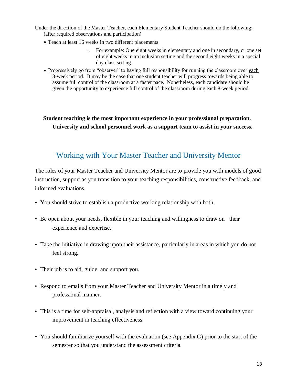Under the direction of the Master Teacher, each Elementary Student Teacher should do the following: (after required observations and participation)

- Teach at least 16 weeks in two different placements
	- o For example: One eight weeks in elementary and one in secondary, or one set of eight weeks in an inclusion setting and the second eight weeks in a special day class setting.
- Progressively go from "observer" to having full responsibility for running the classroom over each 8-week period. It may be the case that one student teacher will progress towards being able to assume full control of the classroom at a faster pace. Nonetheless, each candidate should be given the opportunity to experience full control of the classroom during each 8-week period.

**Student teaching is the most important experience in your professional preparation. University and school personnel work as a support team to assist in your success.**

# Working with Your Master Teacher and University Mentor

The roles of your Master Teacher and University Mentor are to provide you with models of good instruction, support as you transition to your teaching responsibilities, constructive feedback, and informed evaluations.

- You should strive to establish a productive working relationship with both.
- Be open about your needs, flexible in your teaching and willingness to draw on their experience and expertise.
- Take the initiative in drawing upon their assistance, particularly in areas in which you do not feel strong.
- Their job is to aid, guide, and support you.
- Respond to emails from your Master Teacher and University Mentor in a timely and professional manner.
- This is a time for self-appraisal, analysis and reflection with a view toward continuing your improvement in teaching effectiveness.
- You should familiarize yourself with the evaluation (see Appendix G) prior to the start of the semester so that you understand the assessment criteria.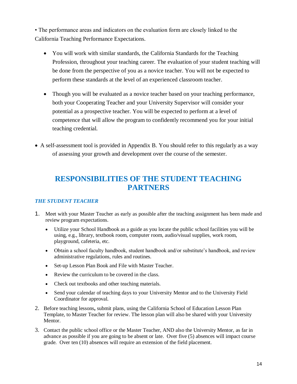• The performance areas and indicators on the evaluation form are closely linked to the California Teaching Performance Expectations.

- You will work with similar standards, the California Standards for the Teaching Profession, throughout your teaching career. The evaluation of your student teaching will be done from the perspective of you as a novice teacher. You will not be expected to perform these standards at the level of an experienced classroom teacher.
- Though you will be evaluated as a novice teacher based on your teaching performance, both your Cooperating Teacher and your University Supervisor will consider your potential as a prospective teacher. You will be expected to perform at a level of competence that will allow the program to confidently recommend you for your initial teaching credential.
- A self-assessment tool is provided in Appendix B. You should refer to this regularly as a way of assessing your growth and development over the course of the semester.

# **RESPONSIBILITIES OF THE STUDENT TEACHING PARTNERS**

### *THE STUDENT TEACHER*

- 1. Meet with your Master Teacher as early as possible after the teaching assignment has been made and review program expectations.
	- Utilize your School Handbook as a guide as you locate the public school facilities you will be using, e.g., library, textbook room, computer room, audio/visual supplies, work room, playground, cafeteria, etc.
	- Obtain a school faculty handbook, student handbook and/or substitute's handbook, and review administrative regulations, rules and routines.
	- Set-up Lesson Plan Book and File with Master Teacher.
	- Review the curriculum to be covered in the class.
	- Check out textbooks and other teaching materials.
	- Send your calendar of teaching days to your University Mentor and to the University Field Coordinator for approval.
- 2. Before teaching lessons**,** submit plans, using the California School of Education Lesson Plan Template, to Master Teacher for review. The lesson plan will also be shared with your University Mentor.
- 3. Contact the public school office or the Master Teacher, AND also the University Mentor, as far in advance as possible if you are going to be absent or late. Over five (5) absences will impact course grade. Over ten (10) absences will require an extension of the field placement.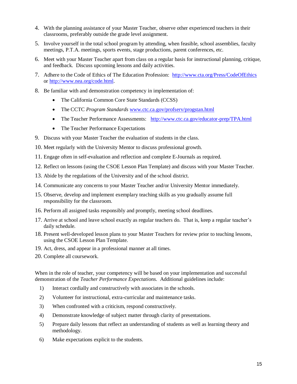- 4. With the planning assistance of your Master Teacher, observe other experienced teachers in their classrooms, preferably outside the grade level assignment.
- 5. Involve yourself in the total school program by attending, when feasible, school assemblies, faculty meetings, P.T.A. meetings, sports events, stage productions, parent conferences, etc.
- 6. Meet with your Master Teacher apart from class on a regular basis for instructional planning, critique, and feedback. Discuss upcoming lessons and daily activities.
- 7. Adhere to the Code of Ethics of The Education Profession: <http://www.cta.org/Press/CodeOfEthics> or [http://www.nea.org/code.html.](http://www.nea.org/code.html)
- 8. Be familiar with and demonstration competency in implementation of:
	- The California Common Core State Standards (CCSS)
	- The CCTC *Program Standards* [www.ctc.ca.gov/profserv/progstan.html](http://www.ctc.ca.gov/profserv/progstan.html)
	- The Teacher Performance Assessments: <http://www.ctc.ca.gov/educator-prep/TPA.html>
	- The Teacher Performance Expectations
- 9. Discuss with your Master Teacher the evaluation of students in the class.
- 10. Meet regularly with the University Mentor to discuss professional growth.
- 11. Engage often in self-evaluation and reflection and complete E-Journals as required.
- 12. Reflect on lessons (using the CSOE Lesson Plan Template) and discuss with your Master Teacher.
- 13. Abide by the regulations of the University and of the school district.
- 14. Communicate any concerns to your Master Teacher and/or University Mentor immediately.
- 15. Observe, develop and implement exemplary teaching skills as you gradually assume full responsibility for the classroom.
- 16. Perform all assigned tasks responsibly and promptly, meeting school deadlines.
- 17. Arrive at school and leave school exactly as regular teachers do. That is, keep a regular teacher's daily schedule.
- 18. Present well-developed lesson plans to your Master Teachers for review prior to teaching lessons, using the CSOE Lesson Plan Template.
- 19. Act, dress, and appear in a professional manner at all times.
- 20. Complete all coursework.

When in the role of teacher, your competency will be based on your implementation and successful demonstration of the *Teacher Performance Expectations.* Additional guidelines include:

- 1) Interact cordially and constructively with associates in the schools.
- 2) Volunteer for instructional, extra-curricular and maintenance tasks.
- 3) When confronted with a criticism, respond constructively.
- 4) Demonstrate knowledge of subject matter through clarity of presentations.
- 5) Prepare daily lessons that reflect an understanding of students as well as learning theory and methodology.
- 6) Make expectations explicit to the students.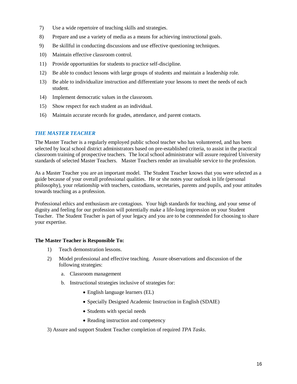- 7) Use a wide repertoire of teaching skills and strategies.
- 8) Prepare and use a variety of media as a means for achieving instructional goals.
- 9) Be skillful in conducting discussions and use effective questioning techniques.
- 10) Maintain effective classroom control.
- 11) Provide opportunities for students to practice self-discipline.
- 12) Be able to conduct lessons with large groups of students and maintain a leadership role.
- 13) Be able to individualize instruction and differentiate your lessons to meet the needs of each student.
- 14) Implement democratic values in the classroom.
- 15) Show respect for each student as an individual.
- 16) Maintain accurate records for grades, attendance, and parent contacts.

### *THE MASTER TEACHER*

The Master Teacher is a regularly employed public school teacher who has volunteered, and has been selected by local school district administrators based on pre-established criteria, to assist in the practical classroom training of prospective teachers. The local school administrator will assure required University standards of selected Master Teachers. Master Teachers render an invaluable service to the profession.

As a Master Teacher you are an important model. The Student Teacher knows that you were selected as a guide because of your overall professional qualities. He or she notes your outlook in life (personal philosophy), your relationship with teachers, custodians, secretaries, parents and pupils, and your attitudes towards teaching as a profession.

Professional ethics and enthusiasm are contagious. Your high standards for teaching, and your sense of dignity and feeling for our profession will potentially make a life-long impression on your Student Teacher. The Student Teacher is part of your legacy and you are to be commended for choosing to share your expertise.

### **The Master Teacher is Responsible To:**

- 1) Teach demonstration lessons.
- 2) Model professional and effective teaching. Assure observations and discussion of the following strategies:
	- a. Classroom management
	- b. Instructional strategies inclusive of strategies for:
		- English language learners (EL)
		- Specially Designed Academic Instruction in English (SDAIE)
		- Students with special needs
		- Reading instruction and competency
- 3) Assure and support Student Teacher completion of required *TPA Tasks*.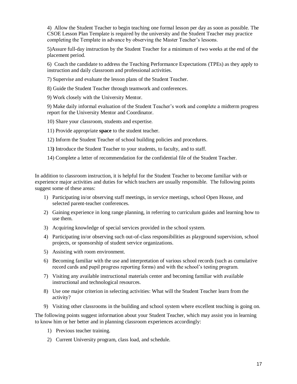4) Allow the Student Teacher to begin teaching one formal lesson per day as soon as possible. The CSOE Lesson Plan Template is required by the university and the Student Teacher may practice completing the Template in advance by observing the Master Teacher's lessons.

5)Assure full-day instruction by the Student Teacher for a minimum of two weeks at the end of the placement period.

6) Coach the candidate to address the Teaching Performance Expectations (TPEs) as they apply to instruction and daily classroom and professional activities.

7) Supervise and evaluate the lesson plans of the Student Teacher.

8) Guide the Student Teacher through teamwork and conferences.

9) Work closely with the University Mentor.

9) Make daily informal evaluation of the Student Teacher's work and complete a midterm progress report for the University Mentor and Coordinator.

10) Share your classroom, students and expertise.

11) Provide appropriate **space** to the student teacher.

12) Inform the Student Teacher of school building policies and procedures.

- 13**)** Introduce the Student Teacher to your students, to faculty, and to staff.
- 14) Complete a letter of recommendation for the confidential file of the Student Teacher.

In addition to classroom instruction, it is helpful for the Student Teacher to become familiar with or experience major activities and duties for which teachers are usually responsible. The following points suggest some of these areas:

- 1) Participating in/or observing staff meetings, in service meetings, school Open House, and selected parent-teacher conferences.
- 2) Gaining experience in long range planning, in referring to curriculum guides and learning how to use them.
- 3) Acquiring knowledge of special services provided in the school system.
- 4) Participating in/or observing such out-of-class responsibilities as playground supervision, school projects, or sponsorship of student service organizations.
- 5) Assisting with room environment.
- 6) Becoming familiar with the use and interpretation of various school records (such as cumulative record cards and pupil progress reporting forms) and with the school's testing program.
- 7) Visiting any available instructional materials center and becoming familiar with available instructional and technological resources.
- 8) Use one major criterion in selecting activities: What will the Student Teacher learn from the activity?
- 9) Visiting other classrooms in the building and school system where excellent teaching is going on.

The following points suggest information about your Student Teacher, which may assist you in learning to know him or her better and in planning classroom experiences accordingly:

- 1) Previous teacher training.
- 2) Current University program, class load, and schedule.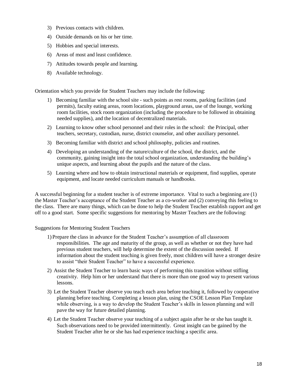- 3) Previous contacts with children.
- 4) Outside demands on his or her time.
- 5) Hobbies and special interests.
- 6) Areas of most and least confidence.
- 7) Attitudes towards people and learning.
- 8) Available technology.

Orientation which you provide for Student Teachers may include the following:

- 1) Becoming familiar with the school site such points as rest rooms, parking facilities (and permits), faculty eating areas, room locations, playground areas, use of the lounge, working room facilities, stock room organization (including the procedure to be followed in obtaining needed supplies), and the location of decentralized materials.
- 2) Learning to know other school personnel and their roles in the school: the Principal, other teachers, secretary, custodian, nurse, district counselor, and other auxiliary personnel.
- 3) Becoming familiar with district and school philosophy, policies and routines.
- 4) Developing an understanding of the nature/culture of the school, the district, and the community, gaining insight into the total school organization, understanding the building's unique aspects, and learning about the pupils and the nature of the class.
- 5) Learning where and how to obtain instructional materials or equipment, find supplies, operate equipment, and locate needed curriculum manuals or handbooks.

A successful beginning for a student teacher is of extreme importance. Vital to such a beginning are (1) the Master Teacher's acceptance of the Student Teacher as a co-worker and (2) conveying this feeling to the class. There are many things, which can be done to help the Student Teacher establish rapport and get off to a good start. Some specific suggestions for mentoring by Master Teachers are the following:

Suggestions for Mentoring Student Teachers

- 1) Prepare the class in advance for the Student Teacher's assumption of all classroom responsibilities. The age and maturity of the group, as well as whether or not they have had previous student teachers, will help determine the extent of the discussion needed. If information about the student teaching is given freely, most children will have a stronger desire to assist "their Student Teacher" to have a successful experience.
- 2) Assist the Student Teacher to learn basic ways of performing this transition without stifling creativity. Help him or her understand that there is more than one good way to present various lessons.
- 3) Let the Student Teacher observe you teach each area before teaching it, followed by cooperative planning before teaching. Completing a lesson plan, using the CSOE Lesson Plan Template while observing, is a way to develop the Student Teacher's skills in lesson planning and will pave the way for future detailed planning.
- 4) Let the Student Teacher observe your teaching of a subject again after he or she has taught it. Such observations need to be provided intermittently. Great insight can be gained by the Student Teacher after he or she has had experience teaching a specific area.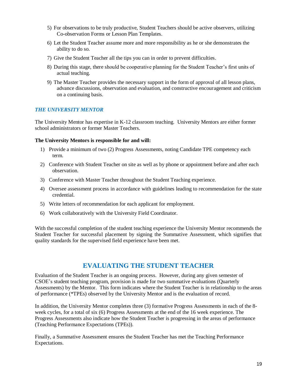- 5) For observations to be truly productive, Student Teachers should be active observers, utilizing Co-observation Forms or Lesson Plan Templates.
- 6) Let the Student Teacher assume more and more responsibility as he or she demonstrates the ability to do so.
- 7) Give the Student Teacher all the tips you can in order to prevent difficulties.
- 8) During this stage, there should be cooperative planning for the Student Teacher's first units of actual teaching.
- 9) The Master Teacher provides the necessary support in the form of approval of all lesson plans, advance discussions, observation and evaluation, and constructive encouragement and criticism on a continuing basis.

### *THE UNIVERSITY MENTOR*

The University Mentor has expertise in K-12 classroom teaching. University Mentors are either former school administrators or former Master Teachers.

### **The University Mentors is responsible for and will:**

- 1) Provide a minimum of two (2) Progress Assessments, noting Candidate TPE competency each term.
- 2) Conference with Student Teacher on site as well as by phone or appointment before and after each observation.
- 3) Conference with Master Teacher throughout the Student Teaching experience.
- 4) Oversee assessment process in accordance with guidelines leading to recommendation for the state credential.
- 5) Write letters of recommendation for each applicant for employment.
- 6) Work collaboratively with the University Field Coordinator.

With the successful completion of the student teaching experience the University Mentor recommends the Student Teacher for successful placement by signing the Summative Assessment, which signifies that quality standards for the supervised field experience have been met.

### **EVALUATING THE STUDENT TEACHER**

Evaluation of the Student Teacher is an ongoing process. However, during any given semester of CSOE's student teaching program, provision is made for two summative evaluations (Quarterly Assessments) by the Mentor. This form indicates where the Student Teacher is in relationship to the areas of performance (\*TPEs) observed by the University Mentor and is the evaluation of record.

In addition, the University Mentor completes three (3) formative Progress Assessments in each of the 8 week cycles, for a total of six (6) Progress Assessments at the end of the 16 week experience. The Progress Assessments also indicate how the Student Teacher is progressing in the areas of performance (Teaching Performance Expectations (TPEs)).

Finally, a Summative Assessment ensures the Student Teacher has met the Teaching Performance Expectations.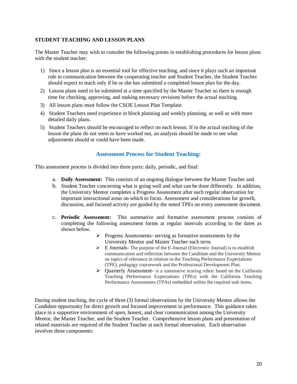### **STUDENT TEACHING AND LESSON PLANS**

The Master Teacher may wish to consider the following points in establishing procedures for lesson plans with the student teacher:

- 1) Since a lesson plan is an essential tool for effective teaching, and since it plays such an important role in communication between the cooperating teacher and Student Teacher, the Student Teacher should expect to teach only if he or she has submitted a completed lesson plan for the day.
- 2) Lesson plans need to be submitted at a time specified by the Master Teacher so there is enough time for checking, approving, and making necessary revisions before the actual teaching.
- 3) All lesson plans must follow the CSOE Lesson Plan Template.
- 4) Student Teachers need experience in block planning and weekly planning, as well as with more detailed daily plans.
- 5) Student Teachers should be encouraged to reflect on each lesson. If in the actual teaching of the lesson the plans do not seem to have worked out, an analysis should be made to see what adjustments should or could have been made.

### **Assessment Process for Student Teaching:**

This assessment process is divided into three parts: daily, periodic, and final:

- a. **Daily Assessment:** This consists of an ongoing dialogue between the Master Teacher and
- b. Student Teacher concerning what is going well and what can be done differently. In addition, the University Mentor completes a Progress Assessment after each regular observation for important instructional areas on which to focus. Assessment and considerations for growth, discussion, and focused activity are guided by the noted TPEs on every assessment document.
- c. **Periodic Assessment:** This summative and formative assessment process consists of completing the following assessment forms at regular intervals according to the dates as shown below.
	- ➢ Progress Assessments- serving as formative assessments by the University Mentor and Master Teacher each term.
	- ➢ E Journals- The purpose of the E-Journal (Electronic Journal) is to establish communication and reflection between the Candidate and the University Mentor on topics of relevance in relation to the Teaching Performance Expectations (TPE), pedagogy coursework and the Professional Development Plan.
	- ➢ Quarterly Assessment- is a summative scoring rubric based on the California Teaching Performance Expectations (TPEs) with the California Teaching Performance Assessments (TPAs) embedded within the required task items.

During student teaching, the cycle of three (3) formal observations by the University Mentor allows the Candidate opportunity for direct growth and focused improvement in performance. This guidance takes place in a supportive environment of open, honest, and clear communication among the University Mentor, the Master Teacher, and the Student Teacher. Comprehensive lesson plans and presentation of related materials are required of the Student Teacher at each formal observation. Each observation involves three components: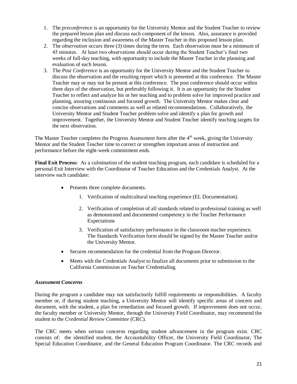- 1. The *preconference* is an opportunity for the University Mentor and the Student Teacher to review the prepared lesson plan and discuss each component of the lesson. Also, assurance is provided regarding the inclusion and awareness of the Master Teacher in this proposed lesson plan.
- 2. The *observation* occurs three (3) times during the term. Each observation must be a minimum of 45 minutes. At least two observations should occur during the Student Teacher's final two weeks of full-day teaching, with opportunity to include the Master Teacher in the planning and evaluation of each lesson.
- 3. The *Post Conference* is an opportunity for the University Mentor and the Student Teacher to discuss the observation and the resulting report which is presented at this conference. The Master Teacher may or may not be present at this conference. The post conference should occur within three days of the observation, but preferably following it. It is an opportunity for the Student Teacher to reflect and analyze his or her teaching and to problem solve for improved practice and planning, assuring continuous and focused growth. The University Mentor makes clear and concise observations and comments as well as related recommendations. Collaboratively, the University Mentor and Student Teacher problem solve and identify a plan for growth and improvement. Together, the University Mentor and Student Teacher identify teaching targets for the next observation.

The Master Teacher completes the Progress Assessment form after the 4<sup>th</sup> week, giving the University Mentor and the Student Teacher time to correct or strengthen important areas of instruction and performance before the eight-week commitment ends.

**Final Exit Process***:* As a culmination of the student teaching program, each candidate is scheduled for a personal Exit Interview with the Coordinator of Teacher Education and the Credentials Analyst. At the interview each candidate:

- Presents three complete documents.
	- 1. Verification of multicultural teaching experience (EL Documentation).
	- 2. Verification of completion of all standards related to professional training as well as demonstrated and documented competency in the Teacher Performance Expectations
	- 3. Verification of satisfactory performance in the classroom teacher experience. The Standards Verification form should be signed by the Master Teacher and/or the University Mentor.
- Secures recommendation for the credential from the Program Director.
- Meets with the Credentials Analyst to finalize all documents prior to submission to the California Commission on Teacher Credentialing.

### *Assessment Concerns*

During the program a candidate may not satisfactorily fulfill requirements or responsibilities. A faculty member or, if during student teaching, a University Mentor will identify specific areas of concern and document, with the student, a plan for remediation and focused growth. If improvement does not occur, the faculty member or University Mentor, through the University Field Coordinator, may recommend the student to the *Credential Review Committee* (CRC).

The CRC meets when serious concerns regarding student advancement in the program exist. CRC consists of: the identified student, the Accountability Officer, the University Field Coordinator, The Special Education Coordinator, and the General Education Program Coordinator. The CRC records and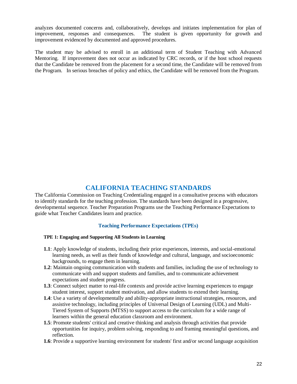analyzes documented concerns and, collaboratively, develops and initiates implementation for plan of improvement, responses and consequences. The student is given opportunity for growth and improvement evidenced by documented and approved procedures.

The student may be advised to enroll in an additional term of Student Teaching with Advanced Mentoring. If improvement does not occur as indicated by CRC records, or if the host school requests that the Candidate be removed from the placement for a second time, the Candidate will be removed from the Program. In serious breaches of policy and ethics, the Candidate will be removed from the Program.

### **CALIFORNIA TEACHING STANDARDS**

The California Commission on Teaching Credentialing engaged in a consultative process with educators to identify standards for the teaching profession. The standards have been designed in a progressive, developmental sequence. Teacher Preparation Programs use the Teaching Performance Expectations to guide what Teacher Candidates learn and practice.

### **Teaching Performance Expectations (TPEs)**

### **TPE 1: Engaging and Supporting All Students in Learning**

- **1.1**: Apply knowledge of students, including their prior experiences, interests, and social-emotional learning needs, as well as their funds of knowledge and cultural, language, and socioeconomic backgrounds, to engage them in learning.
- **1.2**: Maintain ongoing communication with students and families, including the use of technology to communicate with and support students and families, and to communicate achievement expectations and student progress.
- **1.3**: Connect subject matter to real-life contexts and provide active learning experiences to engage student interest, support student motivation, and allow students to extend their learning.
- **1.4**: Use a variety of developmentally and ability-appropriate instructional strategies, resources, and assistive technology, including principles of Universal Design of Learning (UDL) and Multi-Tiered System of Supports (MTSS) to support access to the curriculum for a wide range of learners within the general education classroom and environment.
- **1.5**: Promote students' critical and creative thinking and analysis through activities that provide opportunities for inquiry, problem solving, responding to and framing meaningful questions, and reflection.
- **1.6**: Provide a supportive learning environment for students' first and/or second language acquisition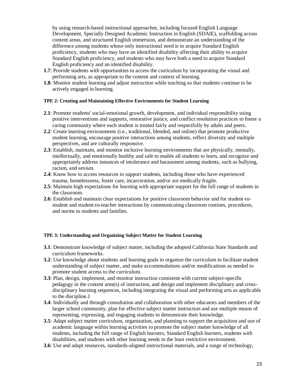by using research-based instructional approaches, including focused English Language Development, Specially Designed Academic Instruction in English (SDAIE), scaffolding across content areas, and structured English immersion, and demonstrate an understanding of the difference among students whose only instructional need is to acquire Standard English proficiency, students who may have an identified disability affecting their ability to acquire Standard English proficiency, and students who may have both a need to acquire Standard English proficiency and an identified disability.

- **1.7**: Provide students with opportunities to access the curriculum by incorporating the visual and performing arts, as appropriate to the content and context of learning.
- **1.8**: Monitor student learning and adjust instruction while teaching so that students continue to be actively engaged in learning.

#### **TPE 2: Creating and Maintaining Effective Environments for Student Learning**

- **2.1**: Promote students' social-emotional growth, development, and individual responsibility using positive interventions and supports, restorative justice, and conflict resolution practices to foster a caring community where each student is treated fairly and respectfully by adults and peers.
- **2.2**: Create learning environments (i.e., traditional, blended, and online) that promote productive student learning, encourage positive interactions among students, reflect diversity and multiple perspectives, and are culturally responsive.
- **2.3**: Establish, maintain, and monitor inclusive learning environments that are physically, mentally, intellectually, and emotionally healthy and safe to enable all students to learn, and recognize and appropriately address instances of intolerance and harassment among students, such as bullying, racism, and sexism.
- **2.4**: Know how to access resources to support students, including those who have experienced trauma, homelessness, foster care, incarceration, and/or are medically fragile.
- **2.5**: Maintain high expectations for learning with appropriate support for the full range of students in the classroom.
- **2.6**: Establish and maintain clear expectations for positive classroom behavior and for student-tostudent and student-to-teacher interactions by communicating classroom routines, procedures, and norms to students and families.

#### **TPE 3: Understanding and Organizing Subject Matter for Student Learning**

- **3.1**: Demonstrate knowledge of subject matter, including the adopted California State Standards and curriculum frameworks.
- **3.2**: Use knowledge about students and learning goals to organize the curriculum to facilitate student understanding of subject matter, and make accommodations and/or modifications as needed to promote student access to the curriculum.
- **3.3**: Plan, design, implement, and monitor instruction consistent with current subject-specific pedagogy in the content area(s) of instruction, and design and implement disciplinary and crossdisciplinary learning sequences, including integrating the visual and performing arts as applicable to the discipline.1
- **3.4**: Individually and through consultation and collaboration with other educators and members of the larger school community, plan for effective subject matter instruction and use multiple means of representing, expressing, and engaging students to demonstrate their knowledge.
- **3.5**: Adapt subject matter curriculum, organization, and planning to support the acquisition and use of academic language within learning activities to promote the subject matter knowledge of all students, including the full range of English learners, Standard English learners, students with disabilities, and students with other learning needs in the least restrictive environment.
- **3.6**: Use and adapt resources, standards-aligned instructional materials, and a range of technology,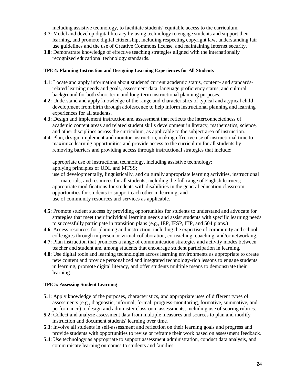including assistive technology, to facilitate students' equitable access to the curriculum.

- **3.7**: Model and develop digital literacy by using technology to engage students and support their learning, and promote digital citizenship, including respecting copyright law, understanding fair use guidelines and the use of Creative Commons license, and maintaining Internet security.
- **3.8**: Demonstrate knowledge of effective teaching strategies aligned with the internationally recognized educational technology standards.

#### **TPE 4: Planning Instruction and Designing Learning Experiences for All Students**

- **4.1**: Locate and apply information about students' current academic status, content- and standardsrelated learning needs and goals, assessment data, language proficiency status, and cultural background for both short-term and long-term instructional planning purposes.
- **4.2**: Understand and apply knowledge of the range and characteristics of typical and atypical child development from birth through adolescence to help inform instructional planning and learning experiences for all students.
- **4.3**: Design and implement instruction and assessment that reflects the interconnectedness of academic content areas and related student skills development in literacy, mathematics, science, and other disciplines across the curriculum, as applicable to the subject area of instruction.
- **4.4**: Plan, design, implement and monitor instruction, making effective use of instructional time to maximize learning opportunities and provide access to the curriculum for all students by removing barriers and providing access through instructional strategies that include:

appropriate use of instructional technology, including assistive technology; applying principles of UDL and MTSS;

use of developmentally, linguistically, and culturally appropriate learning activities, instructional materials, and resources for all students, including the full range of English learners; appropriate modifications for students with disabilities in the general education classroom; opportunities for students to support each other in learning; and use of community resources and services as applicable.

- **4.5**: Promote student success by providing opportunities for students to understand and advocate for strategies that meet their individual learning needs and assist students with specific learning needs to successfully participate in transition plans (e.g., IEP, IFSP, ITP, and 504 plans.)
- **4.6**: Access resources for planning and instruction, including the expertise of community and school colleagues through in-person or virtual collaboration, co-teaching, coaching, and/or networking.
- **4.7**: Plan instruction that promotes a range of communication strategies and activity modes between teacher and student and among students that encourage student participation in learning.
- **4.8**: Use digital tools and learning technologies across learning environments as appropriate to create new content and provide personalized and integrated technology-rich lessons to engage students in learning, promote digital literacy, and offer students multiple means to demonstrate their learning.

### **TPE 5: Assessing Student Learning**

- **5.1**: Apply knowledge of the purposes, characteristics, and appropriate uses of different types of assessments (e.g., diagnostic, informal, formal, progress-monitoring, formative, summative, and performance) to design and administer classroom assessments, including use of scoring rubrics.
- **5.2**: Collect and analyze assessment data from multiple measures and sources to plan and modify instruction and document students' learning over time.
- **5.3**: Involve all students in self-assessment and reflection on their learning goals and progress and provide students with opportunities to revise or reframe their work based on assessment feedback.
- **5.4**: Use technology as appropriate to support assessment administration, conduct data analysis, and communicate learning outcomes to students and families.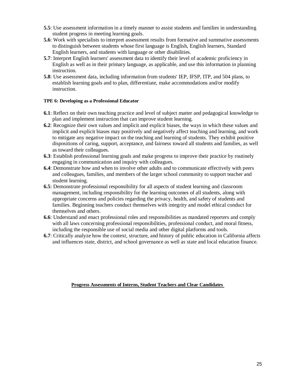- **5.5**: Use assessment information in a timely manner to assist students and families in understanding student progress in meeting learning goals.
- **5.6**: Work with specialists to interpret assessment results from formative and summative assessments to distinguish between students whose first language is English, English learners, Standard English learners, and students with language or other disabilities.
- **5.7**: Interpret English learners' assessment data to identify their level of academic proficiency in English as well as in their primary language, as applicable, and use this information in planning instruction.
- **5.8**: Use assessment data, including information from students' IEP, IFSP, ITP, and 504 plans, to establish learning goals and to plan, differentiate, make accommodations and/or modify instruction.

### **TPE 6: Developing as a Professional Educator**

- **6.1**: Reflect on their own teaching practice and level of subject matter and pedagogical knowledge to plan and implement instruction that can improve student learning.
- **6.2**: Recognize their own values and implicit and explicit biases, the ways in which these values and implicit and explicit biases may positively and negatively affect teaching and learning, and work to mitigate any negative impact on the teaching and learning of students. They exhibit positive dispositions of caring, support, acceptance, and fairness toward all students and families, as well as toward their colleagues.
- **6.3**: Establish professional learning goals and make progress to improve their practice by routinely engaging in communication and inquiry with colleagues.
- **6.4**: Demonstrate how and when to involve other adults and to communicate effectively with peers and colleagues, families, and members of the larger school community to support teacher and student learning.
- **6.5**: Demonstrate professional responsibility for all aspects of student learning and classroom management, including responsibility for the learning outcomes of all students, along with appropriate concerns and policies regarding the privacy, health, and safety of students and families. Beginning teachers conduct themselves with integrity and model ethical conduct for themselves and others.
- **6.6**: Understand and enact professional roles and responsibilities as mandated reporters and comply with all laws concerning professional responsibilities, professional conduct, and moral fitness, including the responsible use of social media and other digital platforms and tools.
- **6.7**: Critically analyze how the context, structure, and history of public education in California affects and influences state, district, and school governance as well as state and local education finance.

#### **Progress Assessments of Interns, Student Teachers and Clear Candidates**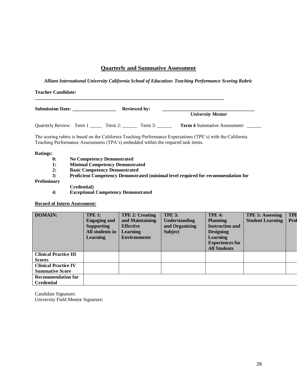### **Quarterly and Summative Assessment**

*Alliant International University California School of Education: Teaching Performance Scoring Rubric*

| Submission Date: | <b>Reviewed by:</b> |                                                                                                     |  |
|------------------|---------------------|-----------------------------------------------------------------------------------------------------|--|
|                  |                     | <b>University Mentor</b>                                                                            |  |
|                  |                     | Quarterly Review: Term 1 ______ Term 2: _______ Term 3: _______ Term 4 Summative Assessment: ______ |  |

#### **Ratings:**

- **0: No Competency Demonstrated**
- **1: Minimal Competency Demonstrated**
- **2: Basic Competency Demonstrated**
- **3: Proficient Competency Demonstrated (minimal level required for recommendation for**

#### **Preliminary**

- **Credential)**
- **4: Exceptional Competency Demonstrated**

#### **Record of Intern Assessment:**

| <b>DOMAIN:</b>               | <b>TPE 1:</b><br><b>Engaging and</b><br><b>Supporting</b><br>All students in<br><b>Learning</b> | <b>TPE 2: Creating</b><br>and Maintaining<br><b>Effective</b><br><b>Learning</b><br><b>Environments</b> | <b>TPE 3:</b><br><b>Understanding</b><br>and Organizing<br><b>Subject</b> | <b>TPE 4:</b><br><b>Planning</b><br><b>Instruction and</b><br><b>Designing</b><br>Learning<br><b>Experiences for</b><br><b>All Students</b> | <b>TPE 5: Assessing</b><br><b>Student Learning</b> | <b>TPF</b><br>Prof |
|------------------------------|-------------------------------------------------------------------------------------------------|---------------------------------------------------------------------------------------------------------|---------------------------------------------------------------------------|---------------------------------------------------------------------------------------------------------------------------------------------|----------------------------------------------------|--------------------|
| <b>Clinical Practice III</b> |                                                                                                 |                                                                                                         |                                                                           |                                                                                                                                             |                                                    |                    |
| <b>Scores</b>                |                                                                                                 |                                                                                                         |                                                                           |                                                                                                                                             |                                                    |                    |
| <b>Clinical Practice IV</b>  |                                                                                                 |                                                                                                         |                                                                           |                                                                                                                                             |                                                    |                    |
| <b>Summative Score</b>       |                                                                                                 |                                                                                                         |                                                                           |                                                                                                                                             |                                                    |                    |
| <b>Recommendation for</b>    |                                                                                                 |                                                                                                         |                                                                           |                                                                                                                                             |                                                    |                    |
| <b>Credential</b>            |                                                                                                 |                                                                                                         |                                                                           |                                                                                                                                             |                                                    |                    |

Candidate Signature: University Field Mentor Signature: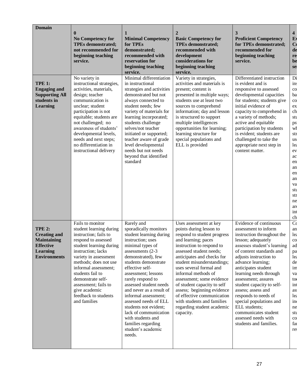| <b>Domain</b>                                                                                                            | $\mathbf{0}$<br><b>No Competency for</b><br><b>TPEs demonstrated;</b><br>not recommended for<br>beginning teaching<br>service.                                                                                                                                                                                                                   | <b>Minimal Competency</b><br>for TPEs<br>demonstrated;<br>recommended with<br>reservation for<br>beginning teaching<br>service.                                                                                                                                                                                                                                                                                                                                                 | 2<br><b>Basic Competency for</b><br><b>TPEs demonstrated;</b><br>recommended with<br>development<br>considerations for<br>beginning teaching<br>service.                                                                                                                                                                                                                                                                                                                       | 3<br><b>Proficient Competency</b><br>for TPEs demonstrated;<br>recommended for<br>beginning teaching<br>service.                                                                                                                                                                                                                                                                                                                                                                     | 4<br>E<br>C <sub>0</sub><br>de<br>re<br>be<br>se:                                                                                                                                 |
|--------------------------------------------------------------------------------------------------------------------------|--------------------------------------------------------------------------------------------------------------------------------------------------------------------------------------------------------------------------------------------------------------------------------------------------------------------------------------------------|---------------------------------------------------------------------------------------------------------------------------------------------------------------------------------------------------------------------------------------------------------------------------------------------------------------------------------------------------------------------------------------------------------------------------------------------------------------------------------|--------------------------------------------------------------------------------------------------------------------------------------------------------------------------------------------------------------------------------------------------------------------------------------------------------------------------------------------------------------------------------------------------------------------------------------------------------------------------------|--------------------------------------------------------------------------------------------------------------------------------------------------------------------------------------------------------------------------------------------------------------------------------------------------------------------------------------------------------------------------------------------------------------------------------------------------------------------------------------|-----------------------------------------------------------------------------------------------------------------------------------------------------------------------------------|
| <b>TPE 1:</b><br><b>Engaging and</b><br><b>Supporting All</b><br>students in<br><b>Learning</b>                          | No variety in<br>instructional strategies,<br>activities, materials,<br>design; teacher<br>communication is<br>unclear; student<br>participation is not<br>equitable; students are<br>not challenged; no<br>awareness of students'<br>developmental levels,<br>needs and next steps;<br>no differentiation in<br>instructional delivery          | Minimal differentiation<br>in instructional<br>strategies and activities<br>demonstrated but not<br>always connected to<br>student needs; few<br>variety of materials for<br>learning incorporated;<br>students challenge<br>selves/not teacher<br>initiated or supported;<br>teacher aware of grade<br>level developmental<br>needs but not needs<br>beyond that identified<br>standard                                                                                        | Variety in strategies,<br>activities and materials is<br>present; content is<br>presented in multiple ways;<br>students use at least two<br>sources to comprehend<br>information; day and lesson<br>is structured to support<br>multiple intelligences<br>opportunities for learning;<br>learning structure for<br>special populations and<br>ELL is provided                                                                                                                  | Differentiated instruction<br>is evident and is<br>responsive to assessed<br>developmental capacities<br>for students; students give<br>initial evidence of<br>capacity to comprehend in<br>a variety of methods;<br>active and equitable<br>participation by students<br>is evident; students are<br>challenged to take the<br>appropriate next step in<br>content matter.                                                                                                          | Di<br>in:<br>$_{\rm co}$<br>ba<br>$_{\rm co}$<br>ex<br>ch<br>stu<br>pr<br>wł<br>str<br>us<br>lea<br>ev<br>ac<br>en<br>an<br>en<br>an<br>va<br>stu<br>str<br>ne<br>ar<br>int<br>ch |
| <b>TPE 2:</b><br><b>Creating and</b><br><b>Maintaining</b><br><b>Effective</b><br><b>Learning</b><br><b>Environments</b> | Fails to monitor<br>student learning during<br>instruction; fails to<br>respond to assessed<br>student learning during<br>instruction; lacks<br>variety in assessment<br>methods; does not use<br>informal assessment;<br>students fail to<br>demonstrate self-<br>assessment; fails to<br>give academic<br>feedback to students<br>and families | Rarely and<br>sporadically monitors<br>student learning during<br>instruction; uses<br>minimal types of<br>assessments $(2-3)$<br>demonstrated), few<br>students demonstrate<br>effective self-<br>assessment; lessons<br>rarely respond to<br>assessed student needs<br>and never as a result of<br>informal assessment;<br>assessed needs of ELL<br>students not evident;<br>lack of communication<br>with students and<br>families regarding<br>student's academic<br>needs. | Uses assessment at key<br>points during lesson to<br>respond to student progress<br>and learning; paces<br>instruction to respond to<br>assessed student needs;<br>anticipates and checks for<br>student misunderstandings;<br>uses several formal and<br>informal methods of<br>assessment; some evidence<br>of student capacity to self<br>assess; beginning evidence<br>of effective communication<br>with students and families<br>regarding student academic<br>capacity. | Evidence of continuous<br>assessment to inform<br>instruction throughout the<br>lesson; adequately<br>assesses student's learning<br>of content standards and<br>adjusts instruction to<br>advance learning;<br>anticipates student<br>learning needs through<br>assessment; assures<br>student capacity to self-<br>assess; assess and<br>responds to needs of<br>special populations and<br>ELL students;<br>communicates student<br>assessed needs with<br>students and families. | C <sub>0</sub><br>an<br>lea<br>$_{\rm co}$<br>ad<br>pa<br>lea<br>de<br>im<br>va<br>to<br>int<br>as<br>lea<br>in<br>ne<br>stu<br>$_{\rm co}$<br>fai<br>res                         |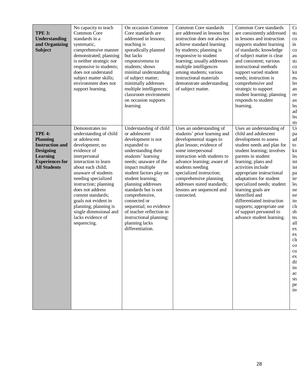| <b>TPE 3:</b><br><b>Understanding</b><br>and Organizing<br><b>Subject</b>                                                                          | No capacity to teach<br>Common Core<br>standards in a<br>systematic,<br>comprehensive manner<br>demonstrated; planning<br>is neither strategic nor<br>responsive to students;<br>does not understand<br>subject matter skills;<br>environment does not<br>support learning.                                                                                                                | On occasion Common<br>Core standards are<br>addressed in lessons;<br>teaching is<br>sporadically planned<br>but lacks<br>responsiveness to<br>students; shows<br>minimal understanding<br>of subject matter;<br>minimally addresses<br>multiple intelligences;<br>classroom environment<br>on occasion supports<br>learning                                                                                                   | Common Core standards<br>are addressed in lessons but<br>instruction does not always<br>achieve standard learning<br>by students; planning is<br>responsive to student<br>learning; usually addresses<br>multiple intelligences<br>among students; various<br>instructional materials<br>demonstrate understanding<br>of subject matter.                | Common Core standards<br>are consistently addressed<br>in lessons and instruction<br>supports student learning<br>of standards; knowledge<br>of subject matter is clear<br>and consistent; various<br>instructional methods<br>support varied student<br>needs; instruction is<br>comprehensive and<br>strategic to support<br>student learning; planning<br>responds to student<br>learning.                                                             | C <sub>0</sub><br>stε<br>$_{\rm co}$<br>in<br>$\rm{co}$<br>as:<br>stε<br>$\rm{co}$<br>$kn$<br>m:<br>les<br>an<br>re:<br>as:<br>lea<br>ad<br>lea<br>stu                                                          |
|----------------------------------------------------------------------------------------------------------------------------------------------------|--------------------------------------------------------------------------------------------------------------------------------------------------------------------------------------------------------------------------------------------------------------------------------------------------------------------------------------------------------------------------------------------|-------------------------------------------------------------------------------------------------------------------------------------------------------------------------------------------------------------------------------------------------------------------------------------------------------------------------------------------------------------------------------------------------------------------------------|---------------------------------------------------------------------------------------------------------------------------------------------------------------------------------------------------------------------------------------------------------------------------------------------------------------------------------------------------------|-----------------------------------------------------------------------------------------------------------------------------------------------------------------------------------------------------------------------------------------------------------------------------------------------------------------------------------------------------------------------------------------------------------------------------------------------------------|-----------------------------------------------------------------------------------------------------------------------------------------------------------------------------------------------------------------|
| <b>TPE 4:</b><br><b>Planning</b><br><b>Instruction and</b><br><b>Designing</b><br><b>Learning</b><br><b>Experiences for</b><br><b>All Students</b> | Demonstrates no<br>understanding of child<br>or adolescent<br>development; no<br>evidence of<br>interpersonal<br>interaction to learn<br>about each child;<br>unaware of students<br>needing specialized<br>instruction; planning<br>does not address<br>content standards;<br>goals not evident in<br>planning; planning is<br>single dimensional and<br>lacks evidence of<br>sequencing. | Understanding of child<br>or adolescent<br>development is not<br>expanded to<br>understanding their<br>students' learning<br>needs; unaware of the<br>impact multiple<br>student factors play on<br>student learning;<br>planning addresses<br>standards but is not<br>comprehensive,<br>connected or<br>sequential; no evidence<br>of teacher reflection in<br>instructional planning;<br>planning lacks<br>differentiation. | Uses an understanding of<br>students' prior learning and<br>developmental stages to<br>plan lesson; evidence of<br>some interpersonal<br>interaction with students to<br>advance learning; aware of<br>students needing<br>specialized instruction;<br>comprehensive planning<br>addresses stated standards;<br>lessons are sequenced and<br>connected. | Uses an understanding of<br>child and adolescent<br>development to assess<br>student needs and plan for<br>student learning; involves<br>parents in student<br>learning; plans and<br>activities include<br>appropriate instructional<br>adaptations for student<br>specialized needs; student<br>learning goals are<br>identified and<br>differentiated instruction<br>supports; appropriate use<br>of support personnel to<br>advance student learning. | Us<br>pa<br>ad<br>to<br>kn<br>lea<br>int<br>int<br>pa<br>in<br>lea<br>ne<br>ne<br>ins<br>$_{\text{cle}}$<br>sh<br>tea<br>all<br>ex<br>ex<br>cl6<br>$\rm{co}$<br>cu<br>ex<br>di<br>in:<br>ac<br>stu<br>pe<br>ins |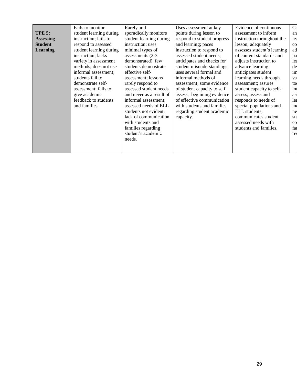| <b>TPE 5:</b><br><b>Assessing</b><br><b>Student</b><br>Learning | Fails to monitor<br>student learning during<br>instruction; fails to<br>respond to assessed<br>student learning during<br>instruction; lacks<br>variety in assessment<br>methods; does not use<br>informal assessment;<br>students fail to<br>demonstrate self-<br>assessment; fails to<br>give academic<br>feedback to students<br>and families | Rarely and<br>sporadically monitors<br>student learning during<br>instruction; uses<br>minimal types of<br>assessments (2-3<br>demonstrated), few<br>students demonstrate<br>effective self-<br>assessment; lessons<br>rarely respond to<br>assessed student needs<br>and never as a result of<br>informal assessment;<br>assessed needs of ELL<br>students not evident; | Uses assessment at key<br>points during lesson to<br>respond to student progress<br>and learning; paces<br>instruction to respond to<br>assessed student needs;<br>anticipates and checks for<br>student misunderstandings;<br>uses several formal and<br>informal methods of<br>assessment; some evidence<br>of student capacity to self<br>assess; beginning evidence<br>of effective communication<br>with students and families<br>regarding student academic | Evidence of continuous<br>assessment to inform<br>instruction throughout the<br>lesson; adequately<br>assesses student's learning<br>of content standards and<br>adjusts instruction to<br>advance learning;<br>anticipates student<br>learning needs through<br>assessment; assures<br>student capacity to self-<br>assess; assess and<br>responds to needs of<br>special populations and<br>ELL students; | C <sub>0</sub><br>an<br>lea<br>$\rm{co}$<br>ad<br>pa<br>leq<br>de<br>im<br>va<br>to<br>int<br>as:<br>lea<br>in<br>ne |
|-----------------------------------------------------------------|--------------------------------------------------------------------------------------------------------------------------------------------------------------------------------------------------------------------------------------------------------------------------------------------------------------------------------------------------|--------------------------------------------------------------------------------------------------------------------------------------------------------------------------------------------------------------------------------------------------------------------------------------------------------------------------------------------------------------------------|-------------------------------------------------------------------------------------------------------------------------------------------------------------------------------------------------------------------------------------------------------------------------------------------------------------------------------------------------------------------------------------------------------------------------------------------------------------------|-------------------------------------------------------------------------------------------------------------------------------------------------------------------------------------------------------------------------------------------------------------------------------------------------------------------------------------------------------------------------------------------------------------|----------------------------------------------------------------------------------------------------------------------|
|                                                                 |                                                                                                                                                                                                                                                                                                                                                  | lack of communication<br>with students and                                                                                                                                                                                                                                                                                                                               | capacity.                                                                                                                                                                                                                                                                                                                                                                                                                                                         | communicates student<br>assessed needs with                                                                                                                                                                                                                                                                                                                                                                 | stu<br>$\rm{co}$                                                                                                     |
|                                                                 |                                                                                                                                                                                                                                                                                                                                                  | families regarding<br>student's academic<br>needs.                                                                                                                                                                                                                                                                                                                       |                                                                                                                                                                                                                                                                                                                                                                                                                                                                   | students and families.                                                                                                                                                                                                                                                                                                                                                                                      | fal<br>res                                                                                                           |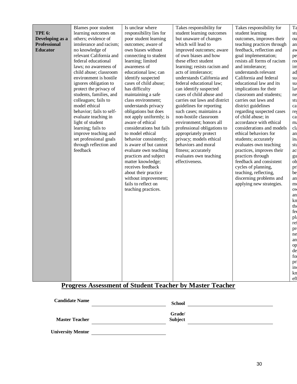|                     | Blames poor student      | Is unclear where         | Takes responsibility for      | Takes responsibility for    | Ta          |
|---------------------|--------------------------|--------------------------|-------------------------------|-----------------------------|-------------|
| <b>TPE 6:</b>       | learning outcomes on     | responsibility lies for  | student learning outcomes     | student learning            | stu         |
| Developing as a     | others; evidence of      | poor student learning    | but unaware of changes        | outcomes, improves their    | ou          |
| <b>Professional</b> | intolerance and racism;  | outcomes; aware of       | which will lead to            | teaching practices through  | an          |
| <b>Educator</b>     | no knowledge of          | own biases without       | improved outcomes; aware      | feedback, reflection and    | aw          |
|                     | relevant California and  | connecting to student    | of own biases and how         | goal implementation;        | pe          |
|                     | federal educational      | learning; limited        | these effect student          | resists all forms of racism | re          |
|                     | laws; no awareness of    | awareness of             | learning; resists racism and  | and intolerance;            | im          |
|                     | child abuse; classroom   | educational law; can     | acts of intolerance;          | understands relevant        | ad          |
|                     | environment is hostile   | identify suspected       | understands California and    | California and federal      | su          |
|                     | ignores obligation to    | cases of child abuse;    | federal educational law;      | educational law and its     | su          |
|                     | protect the privacy of   | has difficulty           | can identify suspected        | implications for their      | lay         |
|                     | students, families, and  | maintaining a safe       | cases of child abuse and      | classroom and students;     | ne          |
|                     | colleagues; fails to     | class environment;       | carries out laws and district | carries out laws and        | stu         |
|                     | model ethical            | understands privacy      | guidelines for reporting      | district guidelines         | ca          |
|                     | behavior; fails to self- | obligations but does     | such cases; maintains a       | regarding suspected cases   | re;         |
|                     | evaluate teaching in     | not apply uniformly; is  | non-hostile classroom         | of child abuse; in          | ca          |
|                     | light of student         | aware of ethical         | environment; honors all       | accordance with ethical     | m:          |
|                     | learning; fails to       | considerations but fails | professional obligations to   | considerations and models   | $_{\rm cl}$ |
|                     | improve teaching and     | to model ethical         | appropriately protect         | ethical behaviors for       | an          |
|                     | set professional goals   | behavior consistently;   | privacy; models ethical       | students; accurately        | in          |
|                     | through reflection and   | is aware of but cannot   | behaviors and moral           | evaluates own teaching      | stu         |
|                     | feedback                 | evaluate own teaching    | fitness; accurately           | practices, improves their   | ac          |
|                     |                          | practices and subject    | evaluates own teaching        | practices through           | gu          |
|                     |                          | matter knowledge;        | effectiveness.                | feedback and consistent     | ob          |
|                     |                          | receives feedback        |                               | cycles of planning,         | pr          |
|                     |                          | about their practice     |                               | teaching, reflecting,       | be          |
|                     |                          | without improvement;     |                               | discerning problems and     | an          |
|                     |                          | fails to reflect on      |                               | applying new strategies.    | m           |
|                     |                          | teaching practices.      |                               |                             | ov          |
|                     |                          |                          |                               |                             | an          |
|                     |                          |                          |                               |                             | kn          |
|                     |                          |                          |                               |                             | th<br>fee   |
|                     |                          |                          |                               |                             |             |
|                     |                          |                          |                               |                             | pla<br>re   |
|                     |                          |                          |                               |                             |             |
|                     |                          |                          |                               |                             | pr          |
|                     |                          |                          |                               |                             | ne<br>an    |
|                     |                          |                          |                               |                             |             |
|                     |                          |                          |                               |                             | op<br>de    |
|                     |                          |                          |                               |                             | for         |
|                     |                          |                          |                               |                             | pr          |
|                     |                          |                          |                               |                             | in          |
|                     |                          |                          |                               |                             | $kn$        |
|                     |                          |                          |                               |                             | efi         |

### **Progress Assessment of Student Teacher by Master Teacher**

| <b>Candidate Name</b> |  |
|-----------------------|--|
|                       |  |

**Candidate Name is School Candidate Name in School** 

**Master Teacher**

**Grade/** 

Subject and the subject of the second second second second second second second second second second second second second second second second second second second second second second second second second second second se

 **University Mentor**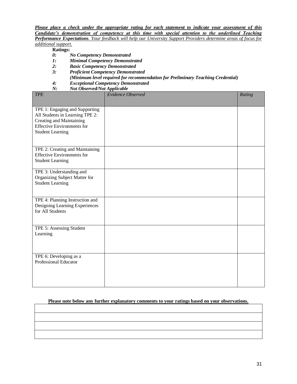*Please place a check under the appropriate rating for each statement to indicate your assessment of this Candidate's demonstration of competency at this time with special attention to the underlined Teaching Performance Expectations. Your feedback will help our University Support Providers determine areas of focus for additional support.*

**Ratings:**

- *0: No Competency Demonstrated*
- *1: Minimal Competency Demonstrated*
- *2: Basic Competency Demonstrated*
- *3: Proficient Competency Demonstrated* 
	- *(Minimum level required for recommendation for Preliminary Teaching Credential)*
- *4: Exceptional Competency Demonstrated*
- *N: Not Observed/Not Applicable*

| <b>TPE</b>                                                           | Evidence Observed | Rating |
|----------------------------------------------------------------------|-------------------|--------|
|                                                                      |                   |        |
| TPE 1: Engaging and Supporting                                       |                   |        |
| All Students in Learning TPE 2:                                      |                   |        |
| <b>Creating and Maintaining</b><br><b>Effective Environments for</b> |                   |        |
| <b>Student Learning</b>                                              |                   |        |
|                                                                      |                   |        |
|                                                                      |                   |        |
| TPE 2: Creating and Maintaining                                      |                   |        |
| <b>Effective Environments for</b>                                    |                   |        |
| <b>Student Learning</b>                                              |                   |        |
|                                                                      |                   |        |
| TPE 3: Understanding and                                             |                   |        |
| Organizing Subject Matter for<br><b>Student Learning</b>             |                   |        |
|                                                                      |                   |        |
|                                                                      |                   |        |
| TPE 4: Planning Instruction and                                      |                   |        |
| Designing Learning Experiences                                       |                   |        |
| for All Students                                                     |                   |        |
|                                                                      |                   |        |
| TPE 5: Assessing Student                                             |                   |        |
| Learning                                                             |                   |        |
|                                                                      |                   |        |
|                                                                      |                   |        |
|                                                                      |                   |        |
| TPE 6: Developing as a<br><b>Professional Educator</b>               |                   |        |
|                                                                      |                   |        |
|                                                                      |                   |        |
|                                                                      |                   |        |
|                                                                      |                   |        |

### **Please note below any further explanatory comments to your ratings based on your observations.**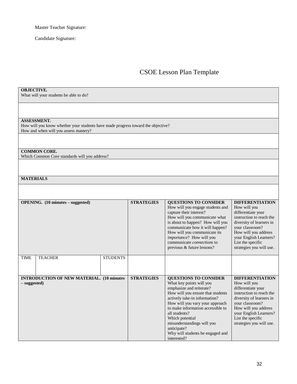Master Teacher Signature:

Candidate Signature:

### CSOE Lesson Plan Template

#### **OBJECTIVE.**

What will your students be able to do?

#### **ASSESSMENT.**

How will you know whether your students have made progress toward the objective? How and when will you assess mastery?

#### **COMMON CORE.**

Which Common Core standards will you address?

### **MATERIALS**

|              | <b>OPENING.</b> $(10 \text{ minutes} - \text{suggested})$ |                 | <b>STRATEGIES</b> | <b>QUESTIONS TO CONSIDER</b><br>How will you engage students and<br>capture their interest?<br>How will you communicate what<br>is about to happen? How will you<br>communicate how it will happen?<br>How will you communicate its<br><i>importance</i> ? How will you<br>communicate <i>connections</i> to<br>previous & future lessons?                             | <b>DIFFERENTIATION</b><br>How will you<br>differentiate your<br>instruction to reach the<br>diversity of learners in<br>your classroom?<br>How will you address<br>your English Learners?<br>List the specific<br>strategies you will use. |
|--------------|-----------------------------------------------------------|-----------------|-------------------|------------------------------------------------------------------------------------------------------------------------------------------------------------------------------------------------------------------------------------------------------------------------------------------------------------------------------------------------------------------------|--------------------------------------------------------------------------------------------------------------------------------------------------------------------------------------------------------------------------------------------|
| <b>TIME</b>  | <b>TEACHER</b>                                            | <b>STUDENTS</b> |                   |                                                                                                                                                                                                                                                                                                                                                                        |                                                                                                                                                                                                                                            |
| – suggested) | <b>INTRODUCTION OF NEW MATERIAL. (10 minutes)</b>         |                 | <b>STRATEGIES</b> | <b>QUESTIONS TO CONSIDER</b><br>What key points will you<br>emphasize and reiterate?<br>How will you ensure that students<br>actively take-in information?<br>How will you vary your approach<br>to make information accessible to<br>all students?<br>Which potential<br>misunderstandings will you<br>anticipate?<br>Why will students be engaged and<br>interested? | <b>DIFFERENTIATION</b><br>How will you<br>differentiate your<br>instruction to reach the<br>diversity of learners in<br>your classroom?<br>How will you address<br>your English Learners?<br>List the specific<br>strategies you will use. |